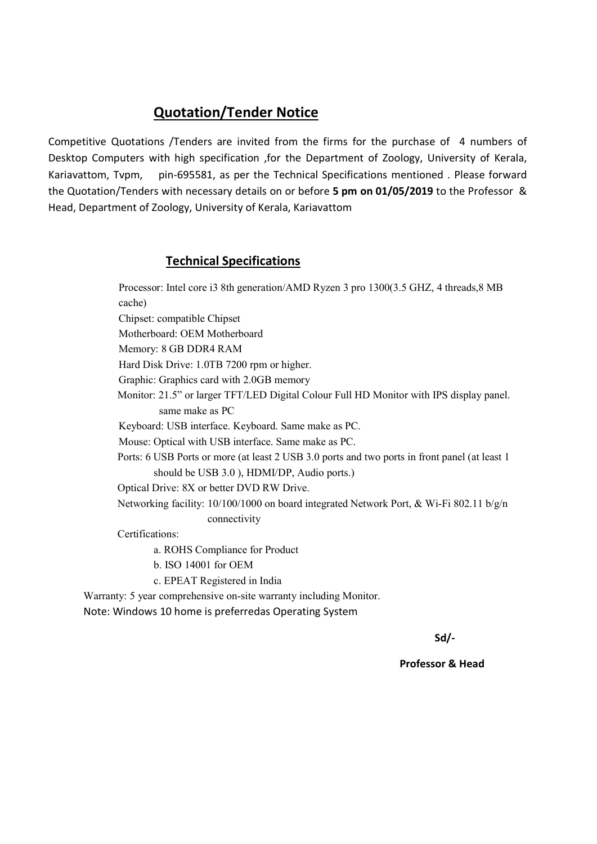Competitive Quotations /Tenders are invited from the firms for the purchase of 4 numbers of Desktop Computers with high specification ,for the Department of Zoology, University of Kerala, Kariavattom, Tvpm, pin-695581, as per the Technical Specifications mentioned . Please forward the Quotation/Tenders with necessary details on or before 5 pm on 01/05/2019 to the Professor & Head, Department of Zoology, University of Kerala, Kariavattom

## Technical Specifications

Processor: Intel core i3 8th generation/AMD Ryzen 3 pro 1300(3.5 GHZ, 4 threads,8 MB cache) Chipset: compatible Chipset Motherboard: OEM Motherboard Memory: 8 GB DDR4 RAM Hard Disk Drive: 1.0TB 7200 rpm or higher. Graphic: Graphics card with 2.0GB memory Monitor: 21.5" or larger TFT/LED Digital Colour Full HD Monitor with IPS display panel. same make as PC Keyboard: USB interface. Keyboard. Same make as PC. Mouse: Optical with USB interface. Same make as PC. Ports: 6 USB Ports or more (at least 2 USB 3.0 ports and two ports in front panel (at least 1 should be USB 3.0 ), HDMI/DP, Audio ports.) Optical Drive: 8X or better DVD RW Drive. Networking facility: 10/100/1000 on board integrated Network Port, & Wi-Fi 802.11 b/g/n connectivity Certifications:

a. ROHS Compliance for Product

b. ISO 14001 for OEM

c. EPEAT Registered in India

Warranty: 5 year comprehensive on-site warranty including Monitor. Note: Windows 10 home is preferredas Operating System

 $S$ d/- $S$ d/- $S$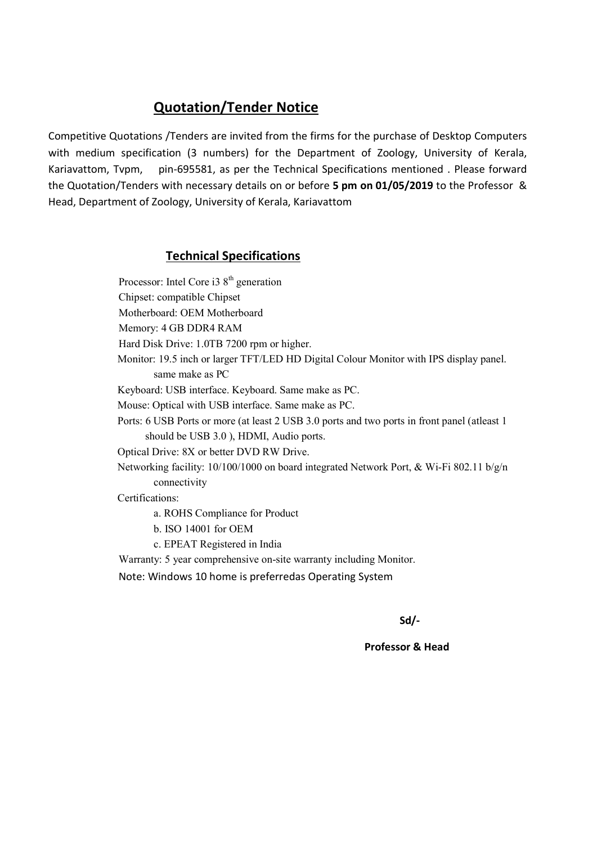Competitive Quotations /Tenders are invited from the firms for the purchase of Desktop Computers with medium specification (3 numbers) for the Department of Zoology, University of Kerala, Kariavattom, Tvpm, pin-695581, as per the Technical Specifications mentioned . Please forward the Quotation/Tenders with necessary details on or before 5 pm on 01/05/2019 to the Professor & Head, Department of Zoology, University of Kerala, Kariavattom

### Technical Specifications

Processor: Intel Core i3  $8<sup>th</sup>$  generation Chipset: compatible Chipset Motherboard: OEM Motherboard Memory: 4 GB DDR4 RAM Hard Disk Drive: 1.0TB 7200 rpm or higher. Monitor: 19.5 inch or larger TFT/LED HD Digital Colour Monitor with IPS display panel. same make as PC Keyboard: USB interface. Keyboard. Same make as PC. Mouse: Optical with USB interface. Same make as PC. Ports: 6 USB Ports or more (at least 2 USB 3.0 ports and two ports in front panel (atleast 1 should be USB 3.0 ), HDMI, Audio ports. Optical Drive: 8X or better DVD RW Drive. Networking facility: 10/100/1000 on board integrated Network Port, & Wi-Fi 802.11 b/g/n connectivity Certifications: a. ROHS Compliance for Product

- b. ISO 14001 for OEM
- c. EPEAT Registered in India
- Warranty: 5 year comprehensive on-site warranty including Monitor.
- Note: Windows 10 home is preferredas Operating System

Sd/-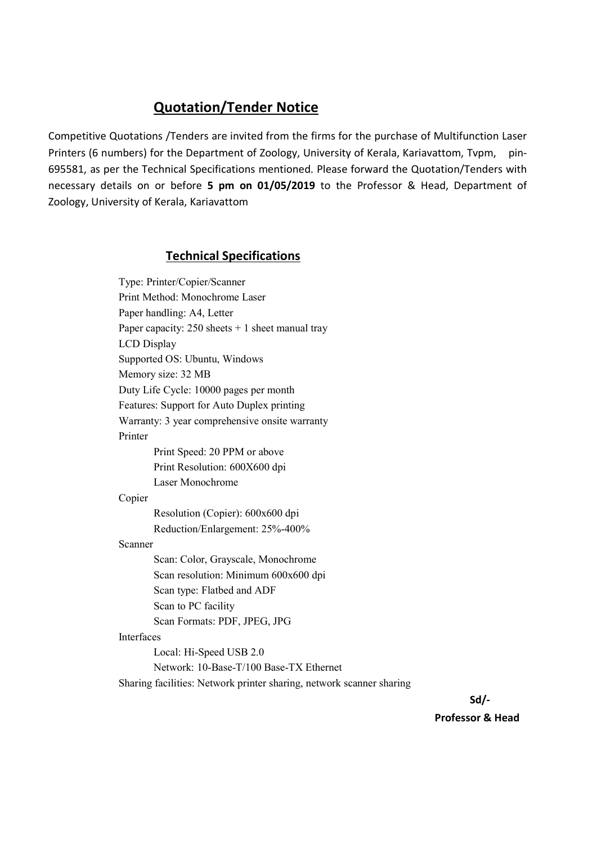Competitive Quotations /Tenders are invited from the firms for the purchase of Multifunction Laser Printers (6 numbers) for the Department of Zoology, University of Kerala, Kariavattom, Tvpm, pin-695581, as per the Technical Specifications mentioned. Please forward the Quotation/Tenders with necessary details on or before 5 pm on 01/05/2019 to the Professor & Head, Department of Zoology, University of Kerala, Kariavattom

### Technical Specifications

Type: Printer/Copier/Scanner Print Method: Monochrome Laser Paper handling: A4, Letter Paper capacity:  $250$  sheets  $+ 1$  sheet manual tray LCD Display Supported OS: Ubuntu, Windows Memory size: 32 MB Duty Life Cycle: 10000 pages per month Features: Support for Auto Duplex printing Warranty: 3 year comprehensive onsite warranty Printer Print Speed: 20 PPM or above Print Resolution: 600X600 dpi Laser Monochrome Copier Resolution (Copier): 600x600 dpi Reduction/Enlargement: 25%-400% Scanner Scan: Color, Grayscale, Monochrome Scan resolution: Minimum 600x600 dpi Scan type: Flatbed and ADF Scan to PC facility Scan Formats: PDF, JPEG, JPG Interfaces Local: Hi-Speed USB 2.0 Network: 10-Base-T/100 Base-TX Ethernet Sharing facilities: Network printer sharing, network scanner sharing

Sd/-